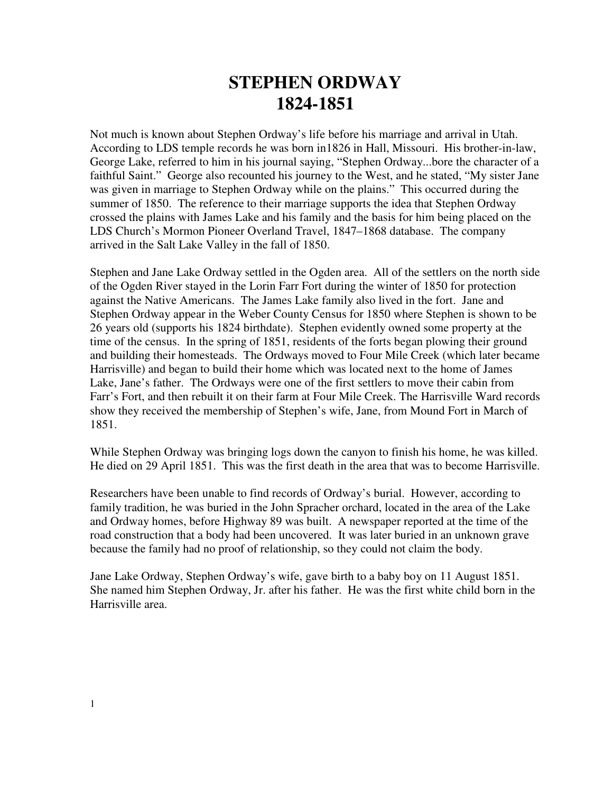## **STEPHEN ORDWAY 1824-1851**

Not much is known about Stephen Ordway's life before his marriage and arrival in Utah. According to LDS temple records he was born in1826 in Hall, Missouri. His brother-in-law, George Lake, referred to him in his journal saying, "Stephen Ordway...bore the character of a faithful Saint." George also recounted his journey to the West, and he stated, "My sister Jane was given in marriage to Stephen Ordway while on the plains." This occurred during the summer of 1850. The reference to their marriage supports the idea that Stephen Ordway crossed the plains with James Lake and his family and the basis for him being placed on the LDS Church's Mormon Pioneer Overland Travel, 1847–1868 database. The company arrived in the Salt Lake Valley in the fall of 1850.

Stephen and Jane Lake Ordway settled in the Ogden area. All of the settlers on the north side of the Ogden River stayed in the Lorin Farr Fort during the winter of 1850 for protection against the Native Americans. The James Lake family also lived in the fort. Jane and Stephen Ordway appear in the Weber County Census for 1850 where Stephen is shown to be 26 years old (supports his 1824 birthdate). Stephen evidently owned some property at the time of the census. In the spring of 1851, residents of the forts began plowing their ground and building their homesteads. The Ordways moved to Four Mile Creek (which later became Harrisville) and began to build their home which was located next to the home of James Lake, Jane's father. The Ordways were one of the first settlers to move their cabin from Farr's Fort, and then rebuilt it on their farm at Four Mile Creek. The Harrisville Ward records show they received the membership of Stephen's wife, Jane, from Mound Fort in March of 1851.

While Stephen Ordway was bringing logs down the canyon to finish his home, he was killed. He died on 29 April 1851. This was the first death in the area that was to become Harrisville.

Researchers have been unable to find records of Ordway's burial. However, according to family tradition, he was buried in the John Spracher orchard, located in the area of the Lake and Ordway homes, before Highway 89 was built. A newspaper reported at the time of the road construction that a body had been uncovered. It was later buried in an unknown grave because the family had no proof of relationship, so they could not claim the body.

Jane Lake Ordway, Stephen Ordway's wife, gave birth to a baby boy on 11 August 1851. She named him Stephen Ordway, Jr. after his father. He was the first white child born in the Harrisville area.